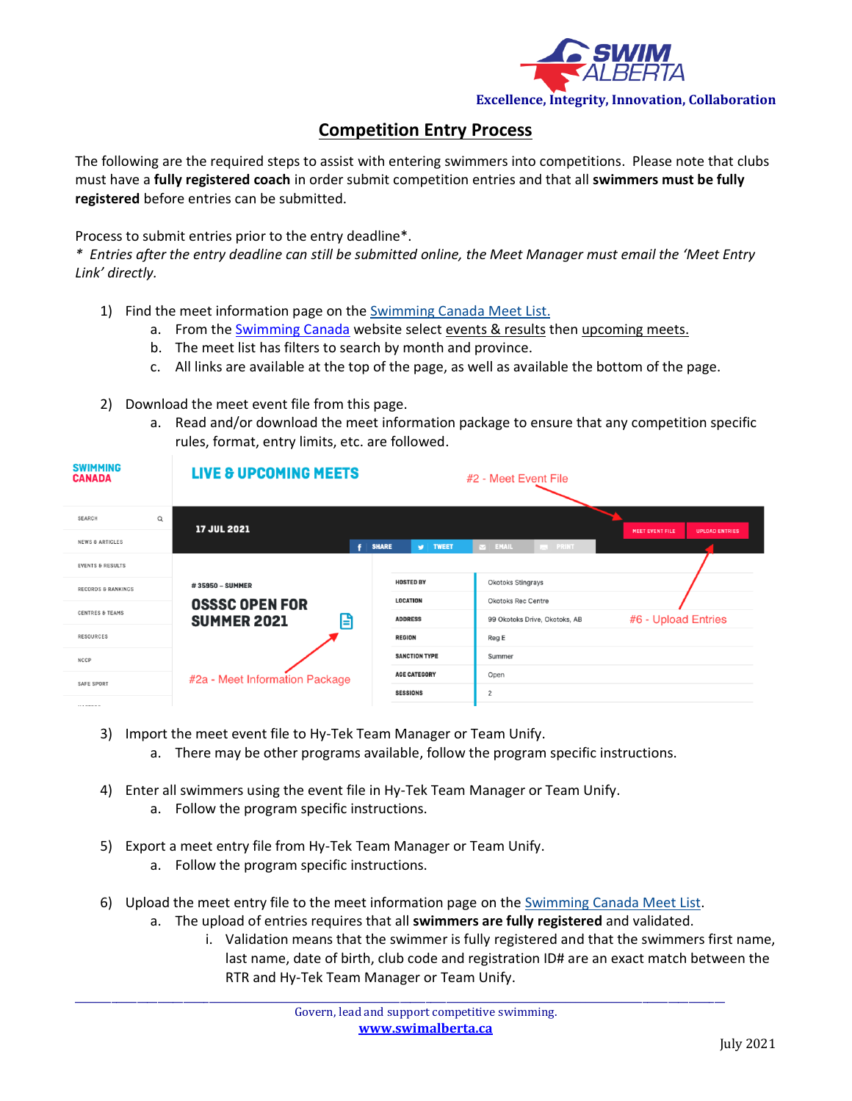

## **Competition Entry Process**

The following are the required steps to assist with entering swimmers into competitions. Please note that clubs must have a **fully registered coach** in order submit competition entries and that all **swimmers must be fully registered** before entries can be submitted.

Process to submit entries prior to the entry deadline\*.

*\* Entries after the entry deadline can still be submitted online, the Meet Manager must email the 'Meet Entry Link' directly.*

- 1) Find the meet information page on the [Swimming Canada Meet List.](https://www.swimming.ca/en/events-results/live-upcoming-meets/)
	- a. From the [Swimming Canada](https://www.swimming.ca/en/) website select events & results then upcoming meets.
	- b. The meet list has filters to search by month and province.
	- c. All links are available at the top of the page, as well as available the bottom of the page.
- 2) Download the meet event file from this page.
	- a. Read and/or download the meet information package to ensure that any competition specific rules, format, entry limits, etc. are followed.

| <b>SWIMMING</b><br><b>CANADA</b> | <b>LIVE &amp; UPCOMING MEETS</b>                 |                      | #2 - Meet Event File          |                                                 |
|----------------------------------|--------------------------------------------------|----------------------|-------------------------------|-------------------------------------------------|
| Q<br><b>SEARCH</b>               | 17 JUL 2021                                      |                      |                               | <b>MEET EVENT FILE</b><br><b>UPLOAD ENTRIES</b> |
| <b>NEWS &amp; ARTICLES</b>       | Ŧ.<br><b>SHARE</b>                               | <b>W</b> TWEET       | EMAIL<br><b>EN PRINT</b>      |                                                 |
| <b>EVENTS &amp; RESULTS</b>      |                                                  |                      |                               |                                                 |
| <b>RECORDS &amp; RANKINGS</b>    | #35950 - SUMMER                                  | <b>HOSTED BY</b>     | Okotoks Stingrays             |                                                 |
| <b>CENTRES &amp; TEAMS</b>       | <b>OSSSC OPEN FOR</b><br>e<br><b>SUMMER 2021</b> | <b>LOCATION</b>      | <b>Okotoks Rec Centre</b>     |                                                 |
|                                  |                                                  | <b>ADDRESS</b>       | 99 Okotoks Drive, Okotoks, AB | #6 - Upload Entries                             |
| <b>RESOURCES</b>                 |                                                  | <b>REGION</b>        | Reg E                         |                                                 |
| <b>NCCP</b>                      |                                                  | <b>SANCTION TYPE</b> | Summer                        |                                                 |
| SAFE SPORT                       | #2a - Meet Information Package                   | <b>AGE CATEGORY</b>  | Open                          |                                                 |
|                                  |                                                  | <b>SESSIONS</b>      | 2                             |                                                 |
| 11107700                         |                                                  |                      |                               |                                                 |

- 3) Import the meet event file to Hy-Tek Team Manager or Team Unify.
	- a. There may be other programs available, follow the program specific instructions.
- 4) Enter all swimmers using the event file in Hy-Tek Team Manager or Team Unify.
	- a. Follow the program specific instructions.
- 5) Export a meet entry file from Hy-Tek Team Manager or Team Unify. a. Follow the program specific instructions.
- 6) Upload the meet entry file to the meet information page on the [Swimming Canada Meet List.](https://www.swimming.ca/en/events-results/live-upcoming-meets/)

\_\_\_\_\_\_\_\_\_\_\_\_\_\_\_\_\_\_\_\_\_\_\_\_\_\_\_\_\_\_\_\_\_\_\_\_\_\_\_\_\_\_\_\_\_\_\_\_\_\_\_\_\_\_\_\_\_\_\_\_\_\_\_\_\_\_\_\_\_\_\_\_\_\_\_\_\_\_\_\_\_\_\_\_\_\_\_\_\_\_\_\_\_\_\_\_\_\_\_\_\_\_\_\_\_\_\_\_\_\_\_\_\_\_\_\_\_\_\_\_\_\_\_\_\_\_

- a. The upload of entries requires that all **swimmers are fully registered** and validated.
	- i. Validation means that the swimmer is fully registered and that the swimmers first name, last name, date of birth, club code and registration ID# are an exact match between the RTR and Hy-Tek Team Manager or Team Unify.